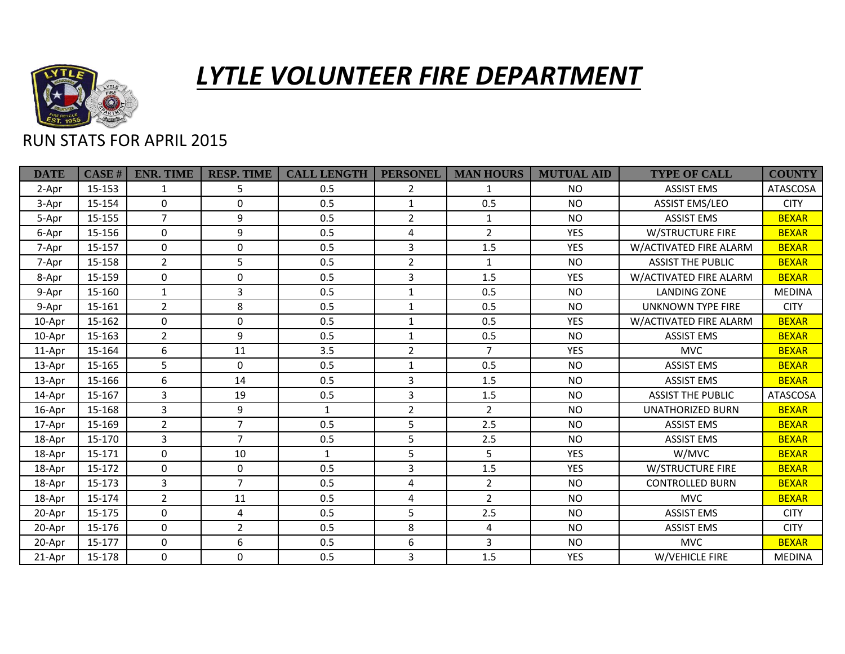

## *LYTLE VOLUNTEER FIRE DEPARTMENT*

## RUN STATS FOR APRIL 2015

| <b>DATE</b> | <b>CASE#</b> | <b>ENR. TIME</b> | <b>RESP. TIME</b> | <b>CALL LENGTH</b> | <b>PERSONEL</b>  | <b>MAN HOURS</b> | <b>MUTUAL AID</b> | <b>TYPE OF CALL</b>      | <b>COUNTY</b>   |
|-------------|--------------|------------------|-------------------|--------------------|------------------|------------------|-------------------|--------------------------|-----------------|
| 2-Apr       | $15 - 153$   | 1                | 5                 | 0.5                | $\overline{2}$   | 1                | <b>NO</b>         | <b>ASSIST EMS</b>        | <b>ATASCOSA</b> |
| 3-Apr       | 15-154       | $\Omega$         | $\Omega$          | 0.5                | $\mathbf{1}$     | 0.5              | <b>NO</b>         | <b>ASSIST EMS/LEO</b>    | <b>CITY</b>     |
| 5-Apr       | 15-155       | $\overline{7}$   | 9                 | 0.5                | $\overline{2}$   | 1                | <b>NO</b>         | <b>ASSIST EMS</b>        | <b>BEXAR</b>    |
| 6-Apr       | 15-156       | $\Omega$         | 9                 | 0.5                | 4                | $\overline{2}$   | <b>YES</b>        | <b>W/STRUCTURE FIRE</b>  | <b>BEXAR</b>    |
| 7-Apr       | 15-157       | $\Omega$         | 0                 | 0.5                | 3                | 1.5              | <b>YES</b>        | W/ACTIVATED FIRE ALARM   | <b>BEXAR</b>    |
| 7-Apr       | 15-158       | $\overline{2}$   | 5                 | 0.5                | $\overline{2}$   | $\mathbf{1}$     | <b>NO</b>         | <b>ASSIST THE PUBLIC</b> | <b>BEXAR</b>    |
| 8-Apr       | 15-159       | $\mathbf 0$      | 0                 | 0.5                | 3                | 1.5              | <b>YES</b>        | W/ACTIVATED FIRE ALARM   | <b>BEXAR</b>    |
| 9-Apr       | 15-160       | $\mathbf{1}$     | 3                 | 0.5                | $\mathbf{1}$     | 0.5              | <b>NO</b>         | <b>LANDING ZONE</b>      | <b>MEDINA</b>   |
| 9-Apr       | 15-161       | $\overline{2}$   | 8                 | 0.5                | $\mathbf{1}$     | 0.5              | <b>NO</b>         | <b>UNKNOWN TYPE FIRE</b> | <b>CITY</b>     |
| 10-Apr      | 15-162       | $\Omega$         | $\mathbf 0$       | 0.5                | $\mathbf{1}$     | 0.5              | <b>YES</b>        | W/ACTIVATED FIRE ALARM   | <b>BEXAR</b>    |
| 10-Apr      | 15-163       | $\overline{2}$   | 9                 | 0.5                | $\mathbf{1}$     | 0.5              | <b>NO</b>         | <b>ASSIST EMS</b>        | <b>BEXAR</b>    |
| 11-Apr      | 15-164       | 6                | 11                | 3.5                | $\overline{2}$   | $\overline{7}$   | <b>YES</b>        | <b>MVC</b>               | <b>BEXAR</b>    |
| 13-Apr      | 15-165       | 5                | $\Omega$          | 0.5                | $\mathbf{1}$     | 0.5              | <b>NO</b>         | <b>ASSIST EMS</b>        | <b>BEXAR</b>    |
| 13-Apr      | 15-166       | 6                | 14                | 0.5                | 3                | 1.5              | <b>NO</b>         | <b>ASSIST EMS</b>        | <b>BEXAR</b>    |
| 14-Apr      | 15-167       | 3                | 19                | 0.5                | 3                | 1.5              | <b>NO</b>         | <b>ASSIST THE PUBLIC</b> | <b>ATASCOSA</b> |
| 16-Apr      | 15-168       | $\overline{3}$   | 9                 | $\mathbf{1}$       | $\overline{2}$   | $\overline{2}$   | <b>NO</b>         | <b>UNATHORIZED BURN</b>  | <b>BEXAR</b>    |
| 17-Apr      | 15-169       | $\overline{2}$   | $\overline{7}$    | 0.5                | 5                | 2.5              | <b>NO</b>         | <b>ASSIST EMS</b>        | <b>BEXAR</b>    |
| 18-Apr      | 15-170       | $\overline{3}$   | $\overline{7}$    | 0.5                | 5                | 2.5              | <b>NO</b>         | <b>ASSIST EMS</b>        | <b>BEXAR</b>    |
| 18-Apr      | 15-171       | $\mathbf 0$      | 10                | 1                  | 5                | 5                | <b>YES</b>        | W/MVC                    | <b>BEXAR</b>    |
| 18-Apr      | 15-172       | $\Omega$         | $\mathbf 0$       | 0.5                | 3                | 1.5              | <b>YES</b>        | <b>W/STRUCTURE FIRE</b>  | <b>BEXAR</b>    |
| 18-Apr      | 15-173       | 3                | $\overline{7}$    | 0.5                | 4                | $\overline{2}$   | <b>NO</b>         | <b>CONTROLLED BURN</b>   | <b>BEXAR</b>    |
| 18-Apr      | 15-174       | $\overline{2}$   | 11                | 0.5                | 4                | $\overline{2}$   | <b>NO</b>         | <b>MVC</b>               | <b>BEXAR</b>    |
| 20-Apr      | 15-175       | $\mathbf 0$      | $\overline{4}$    | 0.5                | 5                | 2.5              | <b>NO</b>         | <b>ASSIST EMS</b>        | <b>CITY</b>     |
| 20-Apr      | 15-176       | $\mathbf 0$      | $\overline{2}$    | 0.5                | 8                | 4                | <b>NO</b>         | <b>ASSIST EMS</b>        | <b>CITY</b>     |
| 20-Apr      | 15-177       | $\Omega$         | 6                 | 0.5                | $\boldsymbol{6}$ | 3                | <b>NO</b>         | <b>MVC</b>               | <b>BEXAR</b>    |
| 21-Apr      | 15-178       | $\Omega$         | $\mathbf 0$       | 0.5                | 3                | 1.5              | <b>YES</b>        | W/VEHICLE FIRE           | <b>MEDINA</b>   |